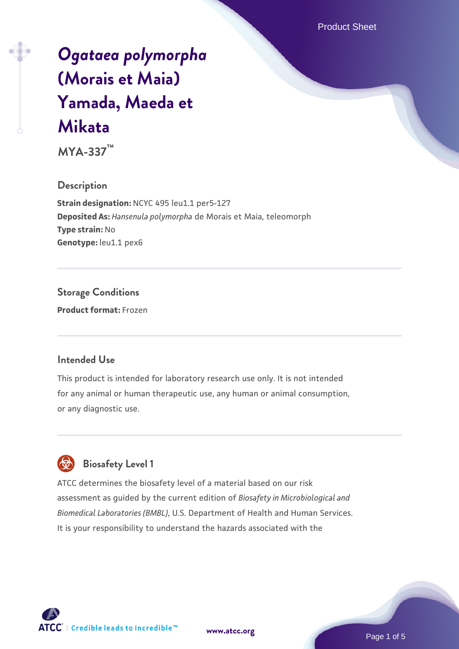Product Sheet

# *[Ogataea polymorpha](https://www.atcc.org/products/mya-337)* **[\(Morais et Maia\)](https://www.atcc.org/products/mya-337) [Yamada, Maeda et](https://www.atcc.org/products/mya-337) [Mikata](https://www.atcc.org/products/mya-337)**

**MYA-337™**

## **Description**

**Strain designation:** NCYC 495 leu1.1 per5-127 **Deposited As:** *Hansenula polymorpha* de Morais et Maia, teleomorph **Type strain:** No Genotype: leu1.1 pex6

## **Storage Conditions Product format:** Frozen

## **Intended Use**

This product is intended for laboratory research use only. It is not intended for any animal or human therapeutic use, any human or animal consumption, or any diagnostic use.



## **Biosafety Level 1**

ATCC determines the biosafety level of a material based on our risk assessment as guided by the current edition of *Biosafety in Microbiological and Biomedical Laboratories (BMBL)*, U.S. Department of Health and Human Services. It is your responsibility to understand the hazards associated with the



**[www.atcc.org](http://www.atcc.org)**

Page 1 of 5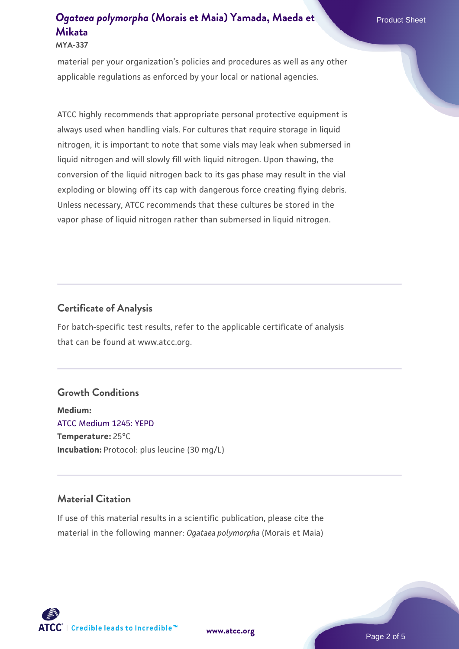**MYA-337**

material per your organization's policies and procedures as well as any other applicable regulations as enforced by your local or national agencies.

ATCC highly recommends that appropriate personal protective equipment is always used when handling vials. For cultures that require storage in liquid nitrogen, it is important to note that some vials may leak when submersed in liquid nitrogen and will slowly fill with liquid nitrogen. Upon thawing, the conversion of the liquid nitrogen back to its gas phase may result in the vial exploding or blowing off its cap with dangerous force creating flying debris. Unless necessary, ATCC recommends that these cultures be stored in the vapor phase of liquid nitrogen rather than submersed in liquid nitrogen.

## **Certificate of Analysis**

For batch-specific test results, refer to the applicable certificate of analysis that can be found at www.atcc.org.

## **Growth Conditions**

**Medium:**  [ATCC Medium 1245: YEPD](https://www.atcc.org/-/media/product-assets/documents/microbial-media-formulations/1/2/4/5/atcc-medium-1245.pdf?rev=705ca55d1b6f490a808a965d5c072196) **Temperature:** 25°C **Incubation:** Protocol: plus leucine (30 mg/L)

## **Material Citation**

If use of this material results in a scientific publication, please cite the material in the following manner: *Ogataea polymorpha* (Morais et Maia)

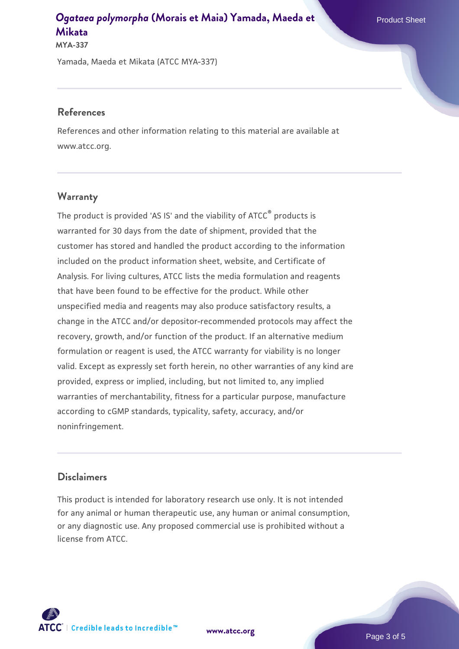**MYA-337**

Yamada, Maeda et Mikata (ATCC MYA-337)

#### **References**

References and other information relating to this material are available at www.atcc.org.

#### **Warranty**

The product is provided 'AS IS' and the viability of ATCC® products is warranted for 30 days from the date of shipment, provided that the customer has stored and handled the product according to the information included on the product information sheet, website, and Certificate of Analysis. For living cultures, ATCC lists the media formulation and reagents that have been found to be effective for the product. While other unspecified media and reagents may also produce satisfactory results, a change in the ATCC and/or depositor-recommended protocols may affect the recovery, growth, and/or function of the product. If an alternative medium formulation or reagent is used, the ATCC warranty for viability is no longer valid. Except as expressly set forth herein, no other warranties of any kind are provided, express or implied, including, but not limited to, any implied warranties of merchantability, fitness for a particular purpose, manufacture according to cGMP standards, typicality, safety, accuracy, and/or noninfringement.

#### **Disclaimers**

This product is intended for laboratory research use only. It is not intended for any animal or human therapeutic use, any human or animal consumption, or any diagnostic use. Any proposed commercial use is prohibited without a license from ATCC.

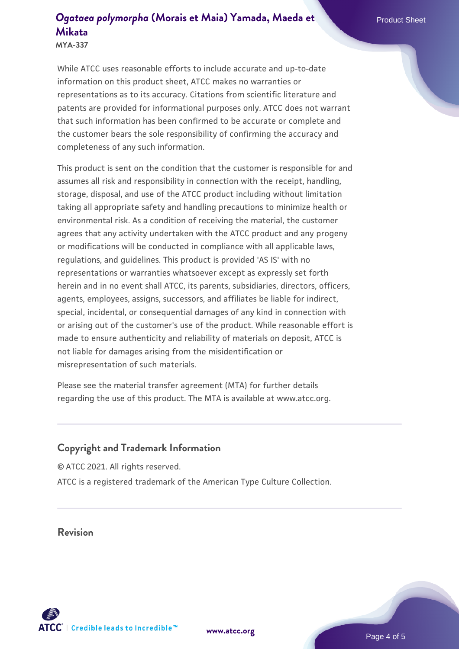**MYA-337**

While ATCC uses reasonable efforts to include accurate and up-to-date information on this product sheet, ATCC makes no warranties or representations as to its accuracy. Citations from scientific literature and patents are provided for informational purposes only. ATCC does not warrant that such information has been confirmed to be accurate or complete and the customer bears the sole responsibility of confirming the accuracy and completeness of any such information.

This product is sent on the condition that the customer is responsible for and assumes all risk and responsibility in connection with the receipt, handling, storage, disposal, and use of the ATCC product including without limitation taking all appropriate safety and handling precautions to minimize health or environmental risk. As a condition of receiving the material, the customer agrees that any activity undertaken with the ATCC product and any progeny or modifications will be conducted in compliance with all applicable laws, regulations, and guidelines. This product is provided 'AS IS' with no representations or warranties whatsoever except as expressly set forth herein and in no event shall ATCC, its parents, subsidiaries, directors, officers, agents, employees, assigns, successors, and affiliates be liable for indirect, special, incidental, or consequential damages of any kind in connection with or arising out of the customer's use of the product. While reasonable effort is made to ensure authenticity and reliability of materials on deposit, ATCC is not liable for damages arising from the misidentification or misrepresentation of such materials.

Please see the material transfer agreement (MTA) for further details regarding the use of this product. The MTA is available at www.atcc.org.

## **Copyright and Trademark Information**

© ATCC 2021. All rights reserved. ATCC is a registered trademark of the American Type Culture Collection.

## **Revision**